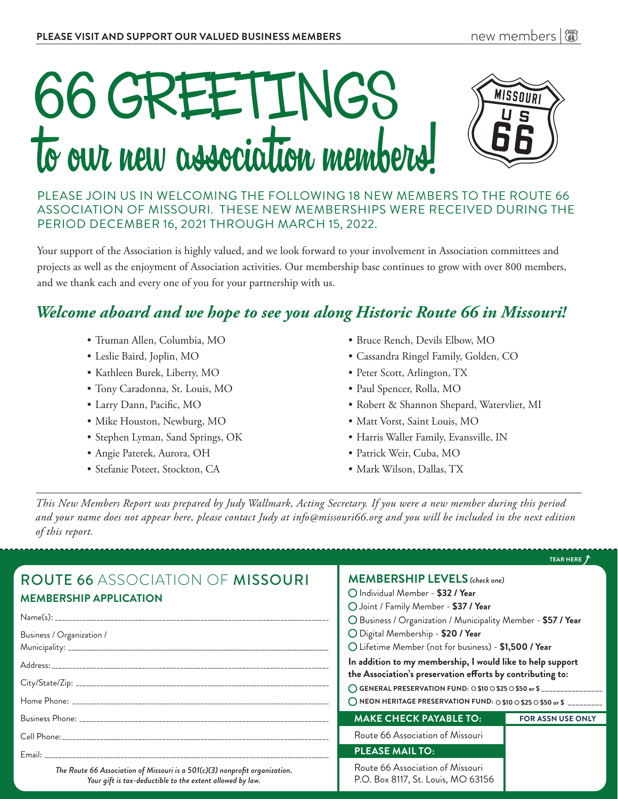

PLEASE JOIN US IN WELCOMING THE FOLLOWING 18 NEW MEMBERS TO THE ROUTE 66 ASSOCIATION OF MISSOURI. THESE NEW MEMBERSHIPS WERE RECEIVED DURING THE PERIOD DECEMBER 16, 2021 THROUGH MARCH 15, 2022.

Your support of the Association is highly valued, and we look forward to your involvement in Association committees and projects as well as the enjoyment of Association activities. Our membership base continues to grow with over 800 members, and we thank each and every one of you for your partnership with us.

# *Welcome aboard and we hope to see you along Historic Route 66 in Missouri!*

- Truman Allen, Columbia, MO
- Leslie Baird, Joplin, MO
- Kathleen Burek, Liberty, MO
- Tony Caradonna, St. Louis, MO
- Larry Dann, Pacific, MO
- Mike Houston, Newburg, MO
- Stephen Lyman, Sand Springs, OK
- Angie Paterek, Aurora, OH
- Stefanie Poteet, Stockton, CA
- Bruce Rench, Devils Elbow, MO
- Cassandra Ringel Family, Golden, CO
- Peter Scott, Arlington, TX
- Paul Spencer, Rolla, MO
- Robert & Shannon Shepard, Watervliet, MI
- Matt Vorst, Saint Louis, MO
- Harris Waller Family, Evansville, IN
- Patrick Weir, Cuba, MO
- Mark Wilson, Dallas, TX

*This New Members Report was prepared by Judy Wallmark, Acting Secretary. If you were a new member during this period and your name does not appear here, please contact Judy at info@missouri66.org and you will be included in the next edition of this report.*

|                                                                                                                                          |                                                                                                                                                                                                                                                                                                                    | TEAR HERE 7              |
|------------------------------------------------------------------------------------------------------------------------------------------|--------------------------------------------------------------------------------------------------------------------------------------------------------------------------------------------------------------------------------------------------------------------------------------------------------------------|--------------------------|
| <b>ROUTE 66 ASSOCIATION OF MISSOURI</b><br><b>MEMBERSHIP APPLICATION</b>                                                                 | <b>MEMBERSHIP LEVELS</b> (check one)<br>O Individual Member - \$32 / Year<br>O Joint / Family Member - \$37 / Year<br>O Business / Organization / Municipality Member - \$57 / Year                                                                                                                                |                          |
|                                                                                                                                          |                                                                                                                                                                                                                                                                                                                    |                          |
| Business / Organization /                                                                                                                | O Digital Membership - \$20 / Year<br>O Lifetime Member (not for business) - \$1,500 / Year                                                                                                                                                                                                                        |                          |
|                                                                                                                                          | In addition to my membership, I would like to help support<br>the Association's preservation efforts by contributing to:<br>◯ GENERAL PRESERVATION FUND: ○ \$10 ○ \$25 ○ \$50 or \$ ________________<br>$\bigcirc$ NEON HERITAGE PRESERVATION FUND: $\bigcirc$ \$10 $\bigcirc$ \$25 $\bigcirc$ \$50 or \$ ________ |                          |
|                                                                                                                                          |                                                                                                                                                                                                                                                                                                                    |                          |
|                                                                                                                                          |                                                                                                                                                                                                                                                                                                                    |                          |
|                                                                                                                                          | <b>MAKE CHECK PAYABLE TO:</b>                                                                                                                                                                                                                                                                                      | <b>FOR ASSN USE ONLY</b> |
|                                                                                                                                          | Route 66 Association of Missouri                                                                                                                                                                                                                                                                                   |                          |
|                                                                                                                                          | <b>PLEASE MAIL TO:</b>                                                                                                                                                                                                                                                                                             |                          |
| The Route 66 Association of Missouri is a 501(c)(3) nonprofit organization.<br>Your gift is tax-deductible to the extent allowed by law. | Route 66 Association of Missouri<br>P.O. Box 8117, St. Louis, MO 63156                                                                                                                                                                                                                                             |                          |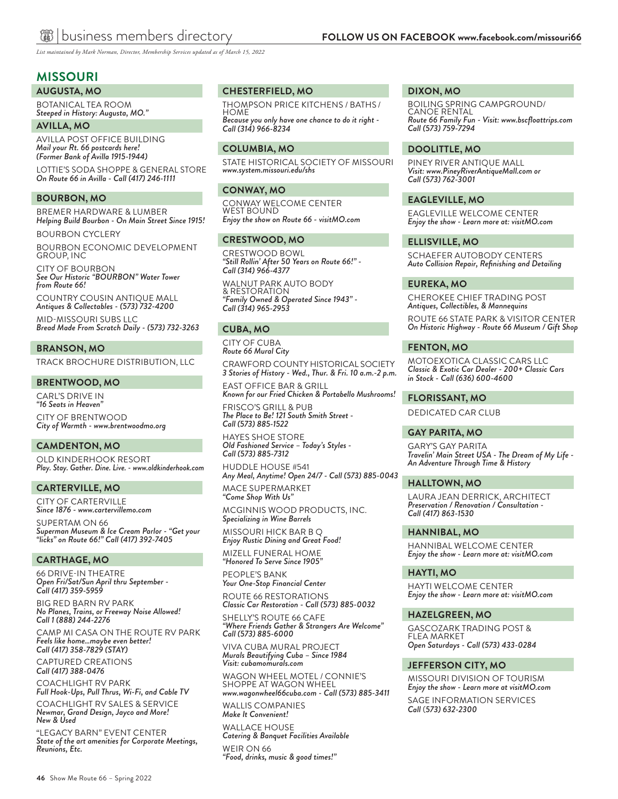*List maintained by Mark Norman, Director, Membership Services updated as of March 15, 2022*

## **MISSOURI**

**AUGUSTA, MO**

BOTANICAL TEA ROOM *Steeped in History: Augusta, MO."*

**AVILLA, MO**

AVILLA POST OFFICE BUILDING *Mail your Rt. 66 postcards here! (Former Bank of Avilla 1915-1944)*

LOTTIE'S SODA SHOPPE & GENERAL STORE *On Route 66 in Avilla - Call (417) 246-1111* 

#### **BOURBON, MO**

BREMER HARDWARE & LUMBER *Helping Build Bourbon - On Main Street Since 1915!*

BOURBON CYCLERY

BOURBON ECONOMIC DEVELOPMENT GROUP, INC

CITY OF BOURBON *See Our Historic "BOURBON" Water Tower from Route 66!*

COUNTRY COUSIN ANTIQUE MALL *Antiques & Collectables - (573) 732-4200*

MID-MISSOURI SUBS LLC *Bread Made From Scratch Daily - (573) 732-3263*

#### **BRANSON, MO**

TRACK BROCHURE DISTRIBUTION, LLC

#### **BRENTWOOD, MO**

CARL'S DRIVE IN *"16 Seats in Heaven"* CITY OF BRENTWOOD *City of Warmth - www.brentwoodmo.org*

#### **CAMDENTON, MO**

OLD KINDERHOOK RESORT *Play. Stay. Gather. Dine. Live. - www.oldkinderhook.com*

#### **CARTERVILLE, MO**

CITY OF CARTERVILLE *Since 1876 - www.cartervillemo.com*

SUPERTAM ON 66 *Superman Museum & Ice Cream Parlor - "Get your "licks" on Route 66!" Call (417) 392-7405*

#### **CARTHAGE, MO**

66 DRIVE-IN THEATRE *Open Fri/Sat/Sun April thru September - Call (417) 359-5959*

BIG RED BARN RV PARK *No Planes, Trains, or Freeway Noise Allowed! Call 1 (888) 244-2276*

CAMP MI CASA ON THE ROUTE RV PARK *Feels like home…maybe even better! Call (417) 358-7829 (STAY)*

CAPTURED CREATIONS *Call (417) 388-0476*

COACHLIGHT RV PARK *Full Hook-Ups, Pull Thrus, Wi-Fi, and Cable TV*

COACHLIGHT RV SALES & SERVICE *Newmar, Grand Design, Jayco and More! New & Used* 

"LEGACY BARN" EVENT CENTER *State of the art amenities for Corporate Meetings, Reunions, Etc.*

#### **CHESTERFIELD, MO**

THOMPSON PRICE KITCHENS / BATHS / HOME *Because you only have one chance to do it right - Call (314) 966-8234*

#### **COLUMBIA, MO**

STATE HISTORICAL SOCIETY OF MISSOURI *www.system.missouri.edu/shs*

#### **CONWAY, MO**

CONWAY WELCOME CENTER WEST BOUND *Enjoy the show on Route 66 - visitMO.com*

#### **CRESTWOOD, MO**

CRESTWOOD BOWL *"Still Rollin' After 50 Years on Route 66!" - Call (314) 966-4377*

WALNUT PARK AUTO BODY & RESTORATION *"Family Owned & Operated Since 1943" - Call (314) 965-2953*

#### **CUBA, MO**

CITY OF CUBA *Route 66 Mural City*

CRAWFORD COUNTY HISTORICAL SOCIETY *3 Stories of History - Wed., Thur. & Fri. 10 a.m.-2 p.m.*

EAST OFFICE BAR & GRILL *Known for our Fried Chicken & Portabello Mushrooms!*

FRISCO'S GRILL & PUB *The Place to Be! 121 South Smith Street - Call (573) 885-1522*

HAYES SHOE STORE *Old Fashioned Service – Today's Styles - Call (573) 885-7312*

HUDDLE HOUSE #541 *Any Meal, Anytime! Open 24/7 - Call (573) 885-0043*

MACE SUPERMARKET *"Come Shop With Us"*

MCGINNIS WOOD PRODUCTS, INC. *Specializing in Wine Barrels*

MISSOURI HICK BAR B Q *Enjoy Rustic Dining and Great Food!*

MIZELL FUNERAL HOME *"Honored To Serve Since 1905"*

PEOPLE'S BANK *Your One-Stop Financial Center*

ROUTE 66 RESTORATIONS *Classic Car Restoration - Call (573) 885-0032*

SHELLY'S ROUTE 66 CAFE *"Where Friends Gather & Strangers Are Welcome" Call (573) 885-6000*

VIVA CUBA MURAL PROJECT *Murals Beautifying Cuba – Since 1984 Visit: cubamomurals.com*

WAGON WHEEL MOTEL / CONNIE'S SHOPPE AT WAGON WHEEL *www.wagonwheel66cuba.com - Call (573) 885-3411*

WALLIS COMPANIES *Make It Convenient!*

WALLACE HOUSE *Catering & Banquet Facilities Available* WEIR ON 66 *"Food, drinks, music & good times!"*

#### **DIXON, MO**

BOILING SPRING CAMPGROUND/ CANOE RENTAL *Route 66 Family Fun - Visit: www.bscfloattrips.com Call (573) 759-7294*

#### **DOOLITTLE, MO**

PINEY RIVER ANTIQUE MALL *Visit: www.PineyRiverAntiqueMall.com or Call (573) 762-3001*

#### **EAGLEVILLE, MO**

EAGLEVILLE WELCOME CENTER *Enjoy the show - Learn more at: visitMO.com*

#### **ELLISVILLE, MO**

SCHAEFER AUTOBODY CENTERS *Auto Collision Repair, Refinishing and Detailing*

#### **EUREKA, MO**

CHEROKEE CHIEF TRADING POST *Antiques, Collectibles, & Mannequins*

ROUTE 66 STATE PARK & VISITOR CENTER *On Historic Highway - Route 66 Museum / Gift Shop*

#### **FENTON, MO**

MOTOEXOTICA CLASSIC CARS LLC *Classic & Exotic Car Dealer - 200+ Classic Cars in Stock - Call (636) 600-4600*

#### **FLORISSANT, MO**

DEDICATED CAR CLUB

#### **GAY PARITA, MO**

GARY'S GAY PARITA *Travelin' Main Street USA - The Dream of My Life - An Adventure Through Time & History*

#### **HALLTOWN, MO**

LAURA JEAN DERRICK, ARCHITECT *Preservation / Renovation / Consultation - Call (417) 863-1530*

#### **HANNIBAL, MO**

HANNIBAL WELCOME CENTER *Enjoy the show - Learn more at: visitMO.com*

#### **HAYTI, MO**

HAYTI WELCOME CENTER *Enjoy the show - Learn more at: visitMO.com*

#### **HAZELGREEN, MO**

GASCOZARK TRADING POST & FLEA MARKET *Open Saturdays - Call (573) 433-0284*

#### **JEFFERSON CITY, MO**

MISSOURI DIVISION OF TOURISM *Enjoy the show - Learn more at visitMO.com* SAGE INFORMATION SERVICES *Call* (*573) 632-2300*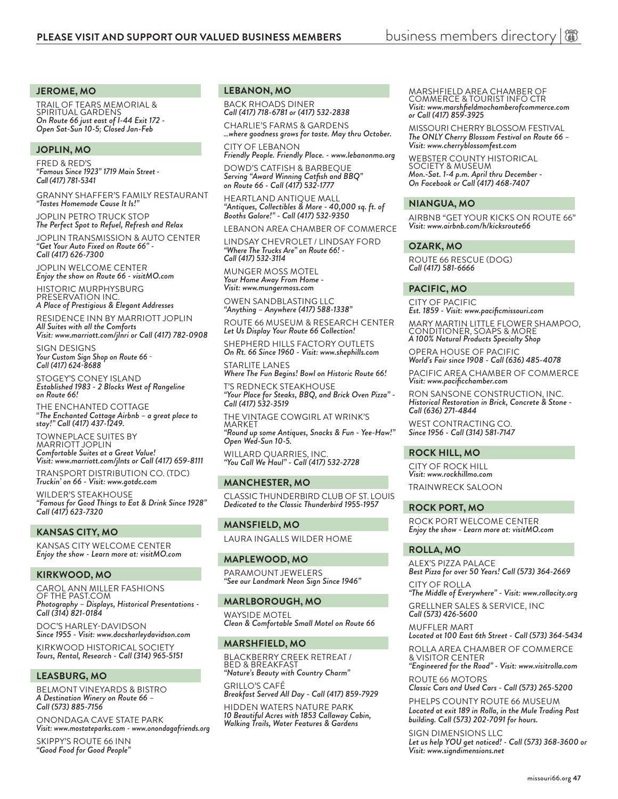#### **JEROME, MO**

TRAIL OF TEARS MEMORIAL & SPIRITUAL GARDENS *On Route 66 just east of I-44 Exit 172 - Open Sat-Sun 10-5; Closed Jan-Feb*

#### **JOPLIN, MO**

FRED & RED'S *"Famous Since 1923" 1719 Main Street-Call (417) 781-5341*

GRANNY SHAFFER'S FAMILY RESTAURANT *"Tastes Homemade Cause It Is!"* 

JOPLIN PETRO TRUCK STOP *The Perfect Spot to Refuel, Refresh and Relax*

JOPLIN TRANSMISSION & AUTO CENTER *"Get Your Auto Fixed on Route 66" - Call (417) 626-7300*

JOPLIN WELCOME CENTER *Enjoy the show on Route 66 - visitMO.com*

HISTORIC MURPHYSBURG PRESERVATION INC. *A Place of Prestigious & Elegant Addresses*

RESIDENCE INN BY MARRIOTT JOPLIN *All Suites with all the Comforts Visit: www.marriott.com/jlnri or Call (417) 782-0908*

SIGN DESIGNS *Your Custom Sign Shop on Route 66* - *Call (417) 624-8688*

STOGEY'S CONEY ISLAND *Established 1983 - 2 Blocks West of Rangeline on Route 66!*

THE ENCHANTED COTTAGE "*The Enchanted Cottage Airbnb – a great place to stay!" Call (417) 437-1249.* 

TOWNEPLACE SUITES BY MARRIOTT JOPLIN *Comfortable Suites at a Great Value! Visit: www.marriott.com/jlnts or Call (417) 659-8111* TRANSPORT DISTRIBUTION CO. (TDC) *Truckin' on 66 - Visit: www.gotdc.com*

WILDER'S STEAKHOUSE *"Famous for Good Things to Eat & Drink Since 1928" Call (417) 623-7320*

#### **KANSAS CITY, MO**

KANSAS CITY WELCOME CENTER *Enjoy the show - Learn more at: visitMO.com*

#### **KIRKWOOD, MO**

CAROL ANN MILLER FASHIONS OF THE PAST.COM *Photography – Displays, Historical Presentations - Call (314) 821-0184* 

DOC'S HARLEY-DAVIDSON *Since 1955 - Visit: www.docsharleydavidson.com*

KIRKWOOD HISTORICAL SOCIETY *Tours, Rental, Research - Call (314) 965-5151*

#### **LEASBURG, MO**

BELMONT VINEYARDS & BISTRO *A Destination Winery on Route 66 – Call (573) 885-7156*

ONONDAGA CAVE STATE PARK *Visit: www.mostateparks.com - www.onondagafriends.org*

SKIPPY'S ROUTE 66 INN *"Good Food for Good People"*

#### **LEBANON, MO**

BACK RHOADS DINER *Call (417) 718-6781 or (417) 532-2838*

CHARLIE'S FARMS & GARDENS *…where goodness grows for taste. May thru October.*

CITY OF LEBANON *Friendly People. Friendly Place. - www.lebanonmo.org*

DOWD'S CATFISH & BARBEQUE *Serving "Award Winning Catfish and BBQ" on Route 66 - Call (417) 532-1777*

HEARTLAND ANTIQUE MALL *"Antiques, Collectibles & More - 40,000 sq. ft. of Booths Galore!" - Call (417) 532-9350*

LEBANON AREA CHAMBER OF COMMERCE

LINDSAY CHEVROLET / LINDSAY FORD *"Where The Trucks Are" on Route 66! - Call (417) 532-3114*

MUNGER MOSS MOTEL *Your Home Away From Home - Visit: www.mungermoss.com*

OWEN SANDBLASTING LLC *"Anything – Anywhere (417) 588-1338"*

ROUTE 66 MUSEUM & RESEARCH CENTER *Let Us Display Your Route 66 Collection!*

SHEPHERD HILLS FACTORY OUTLETS *On Rt. 66 Since 1960 - Visit: www.shephills.com*

STARLITE LANES *Where The Fun Begins! Bowl on Historic Route 66!* T'S REDNECK STEAKHOUSE

*"Your Place for Steaks, BBQ, and Brick Oven Pizza" - Call (417) 532-3519*

THE VINTAGE COWGIRL AT WRINK'S MARKET *"Round up some Antiques, Snacks & Fun - Yee-Haw!" Open Wed-Sun 10-5.*

WILLARD QUARRIES, INC. *"You Call We Haul" - Call (417) 532-2728*

#### **MANCHESTER, MO**

CLASSIC THUNDERBIRD CLUB OF ST. LOUIS *Dedicated to the Classic Thunderbird 1955-1957*

**MANSFIELD, MO** LAURA INGALLS WILDER HOME

#### **MAPLEWOOD, MO**

PARAMOUNT JEWELERS *"See our Landmark Neon Sign Since 1946"*

#### **MARLBOROUGH, MO**

WAYSIDE MOTEL *Clean & Comfortable Small Motel on Route 66*

#### **MARSHFIELD, MO**

BLACKBERRY CREEK RETREAT / BED & BREAKFAST *"Nature's Beauty with Country Charm"*

GRILLO'S CAFÉ *Breakfast Served All Day - Call (417) 859-7929*

HIDDEN WATERS NATURE PARK *10 Beautiful Acres with 1853 Callaway Cabin, Walking Trails, Water Features & Gardens*

#### MARSHFIELD AREA CHAMBER OF COMMERCE & TOURIST INFO CTR *Visit: www.marshfieldmochamberofcommerce.com or Call (417) 859-3925*

MISSOURI CHERRY BLOSSOM FESTIVAL *The ONLY Cherry Blossom Festival on Route 66 – Visit: www.cherryblossomfest.com*

WEBSTER COUNTY HISTORICAL SOCIETY & MUSEUM *Mon.-Sat. 1-4 p.m. April thru December - On Facebook or Call (417) 468-7407*

#### **NIANGUA, MO**

AIRBNB "GET YOUR KICKS ON ROUTE 66" *Visit: www.airbnb.com/h/kicksroute66*

#### **OZARK, MO**

ROUTE 66 RESCUE (DOG) *Call (417) 581-6666* 

#### **PACIFIC, MO**

CITY OF PACIFIC *Est. 1859 - Visit: www.pacificmissouri.com*

MARY MARTIN LITTLE FLOWER SHAMPOO, CONDITIONER, SOAPS & MORE *A 100% Natural Products Specialty Shop*

OPERA HOUSE OF PACIFIC *World's Fair since 1908 - Call (636) 485-4078*

PACIFIC AREA CHAMBER OF COMMERCE *Visit: www.pacificchamber.com*

RON SANSONE CONSTRUCTION, INC. *Historical Restoration in Brick, Concrete & Stone - Call (636) 271-4844* 

WEST CONTRACTING CO. *Since 1956 - Call (314) 581-7147*

#### **ROCK HILL, MO**

CITY OF ROCK HILL *Visit: www.rockhillmo.com* TRAINWRECK SALOON

#### **ROCK PORT, MO**

ROCK PORT WELCOME CENTER *Enjoy the show - Learn more at: visitMO.com*

#### **ROLLA, MO**

ALEX'S PIZZA PALACE *Best Pizza for over 50 Years! Call (573) 364-2669*

CITY OF ROLLA *"The Middle of Everywhere" - Visit: www.rollacity.org* GRELLNER SALES & SERVICE, INC *Call (573) 426-5600*

MUFFLER MART *Located at 100 East 6th Street - Call (573) 364-5434*

ROLLA AREA CHAMBER OF COMMERCE & VISITOR CENTER

*"Engineered for the Road" - Visit: www.visitrolla.com* ROUTE 66 MOTORS

*Classic Cars and Used Cars - Call (573) 265-5200*

PHELPS COUNTY ROUTE 66 MUSEUM *Located at exit 189 in Rolla, in the Mule Trading Post building. Call (573) 202-7091 for hours.*

SIGN DIMENSIONS LLC *Let us help YOU get noticed! - Call (573) 368-3600 or Visit: www.signdimensions.net*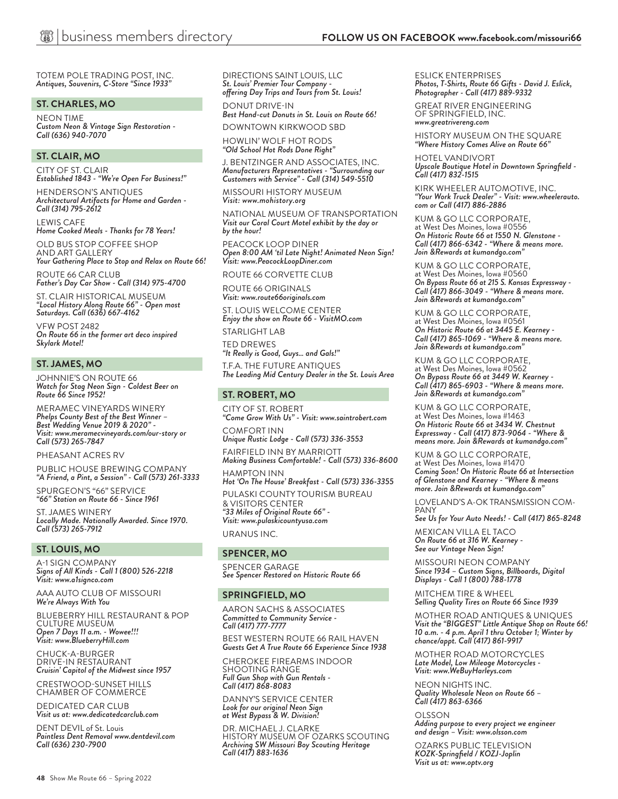TOTEM POLE TRADING POST, INC. *Antiques, Souvenirs, C-Store "Since 1933"*

#### **ST. CHARLES, MO**

NEON TIME *Custom Neon & Vintage Sign Restoration - Call (636) 940-7070*

#### **ST. CLAIR, MO**

CITY OF ST. CLAIR *Established 1843 - "We're Open For Business!"*

HENDERSON'S ANTIQUES *Architectural Artifacts for Home and Garden - Call (314) 795-2612*

LEWIS CAFE *Home Cooked Meals - Thanks for 78 Years!*

OLD BUS STOP COFFEE SHOP AND ART GALLERY *Your Gathering Place to Stop and Relax on Route 66!*

ROUTE 66 CAR CLUB *Father's Day Car Show - Call (314) 975-4700*

ST. CLAIR HISTORICAL MUSEUM *"Local History Along Route 66" - Open most Saturdays. Call (636) 667-4162*

VFW POST 2482 *On Route 66 in the former art deco inspired Skylark Motel!*

#### **ST. JAMES, MO**

JOHNNIE'S ON ROUTE 66 *Watch for Stag Neon Sign - Coldest Beer on Route 66 Since 1952!*

MERAMEC VINEYARDS WINERY *Phelps County Best of the Best Winner – Best Wedding Venue 2019 & 2020" - Visit: www.meramecvineyards.com/our-story or Call (573) 265-7847*

#### PHEASANT ACRES RV

PUBLIC HOUSE BREWING COMPANY *"A Friend, a Pint, a Session" - Call (573) 261-3333*

SPURGEON'S "66" SERVICE *"66" Station on Route 66 - Since 1961*

ST. JAMES WINERY *Locally Made. Nationally Awarded. Since 1970. Call (573) 265-7912*

#### **ST. LOUIS, MO**

A-1 SIGN COMPANY *Signs of All Kinds - Call 1 (800) 526-2218 Visit: www.a1signco.com*

AAA AUTO CLUB OF MISSOURI *We're Always With You*

BLUEBERRY HILL RESTAURANT & POP CULTURE MUSEUM *Open 7 Days 11 a.m. - Wowee!!! Visit: www.BlueberryHill.com*

CHUCK-A-BURGER DRIVE-IN RESTAURANT *Cruisin' Capitol of the Midwest since 1957*

CRESTWOOD-SUNSET HILLS CHAMBER OF COMMERCE

DEDICATED CAR CLUB *Visit us at: www.dedicatedcarclub.com*

DENT DEVIL of St. Louis *Paintless Dent Removal www.dentdevil.com Call (636) 230-7900*

DIRECTIONS SAINT LOUIS, LLC *St. Louis' Premier Tour Company offering Day Trips and Tours from St. Louis!*

DONUT DRIVE-IN *Best Hand-cut Donuts in St. Louis on Route 66!* DOWNTOWN KIRKWOOD SBD

HOWLIN' WOLF HOT RODS *"Old School Hot Rods Done Right"*

J. BENTZINGER AND ASSOCIATES, INC. *Manufacturers Representatives - "Surrounding our Customers with Service" - Call (314) 549-5510*

MISSOURI HISTORY MUSEUM *Visit: www.mohistory.org*

NATIONAL MUSEUM OF TRANSPORTATION *Visit our Coral Court Motel exhibit by the day or by the hour!*

PEACOCK LOOP DINER *Open 8:00 AM 'til Late Night! Animated Neon Sign! Visit: www.PeacockLoopDiner.com*

ROUTE 66 CORVETTE CLUB

ROUTE 66 ORIGINALS *Visit: www.route66originals.com*

ST. LOUIS WELCOME CENTER *Enjoy the show on Route 66 - VisitMO.com*

STARLIGHT LAB TED DREWES

*"It Really is Good, Guys… and Gals!"*

T.F.A. THE FUTURE ANTIQUES *The Leading Mid Century Dealer in the St. Louis Area*

#### **ST. ROBERT, MO**

CITY OF ST. ROBERT *"Come Grow With Us" - Visit: www.saintrobert.com* COMFORT INN

*Unique Rustic Lodge - Call (573) 336-3553*

FAIRFIELD INN BY MARRIOTT *Making Business Comfortable! - Call (573) 336-8600* HAMPTON INN

*Hot 'On The House' Breakfast - Call (573) 336-3355*

PULASKI COUNTY TOURISM BUREAU & VISITORS CENTER

*"33 Miles of Original Route 66" - Visit: www.pulaskicountyusa.com* URANUS INC.

#### **SPENCER, MO**

SPENCER GARAGE *See Spencer Restored on Historic Route 66*

#### **SPRINGFIELD, MO**

AARON SACHS & ASSOCIATES *Committed to Community Service - Call (417) 777-7777*

BEST WESTERN ROUTE 66 RAIL HAVEN *Guests Get A True Route 66 Experience Since 1938*

CHEROKEE FIREARMS INDOOR SHOOTING RANGE *Full Gun Shop with Gun Rentals - Call (417) 868-8083*

DANNY'S SERVICE CENTER *Look for our original Neon Sign at West Bypass & W. Division!*

DR. MICHAEL J. CLARKE HISTORY MUSEUM OF OZARKS SCOUTING *Archiving SW Missouri Boy Scouting Heritage Call (417) 883-1636*

ESLICK ENTERPRISES *Photos, T-Shirts, Route 66 Gifts - David J. Eslick, Photographer - Call (417) 889-9332*

GREAT RIVER ENGINEERING OF SPRINGFIELD, INC. *www.greatrivereng.com*

HISTORY MUSEUM ON THE SQUARE *"Where History Comes Alive on Route 66"*

HOTEL VANDIVORT *Upscale Boutique Hotel in Downtown Springfield - Call (417) 832-1515*

KIRK WHEELER AUTOMOTIVE, INC. *"Your Work Truck Dealer" - Visit: www.wheelerauto. com or Call (417) 886-2886*

KUM & GO LLC CORPORATE, at West Des Moines, Iowa #0556 *On Historic Route 66 at 1550 N. Glenstone - Call (417) 866-6342 - "Where & means more. Join &Rewards at kumandgo.com"*

KUM & GO LLC CORPORATE, at West Des Moines, Iowa #0560 *On Bypass Route 66 at 215 S. Kansas Expressway - Call (417) 866-3049 - "Where & means more. Join &Rewards at kumandgo.com"*

KUM & GO LLC CORPORATE, at West Des Moines, Iowa #0561 *On Historic Route 66 at 3445 E. Kearney - Call (417) 865-1069 - "Where & means more. Join &Rewards at kumandgo.com"*

KUM & GO LLC CORPORATE, at West Des Moines, Iowa #0562 *On Bypass Route 66 at 3449 W. Kearney - Call (417) 865-6903 - "Where & means more. Join &Rewards at kumandgo.com"*

KUM & GO LLC CORPORATE, at West Des Moines, Iowa #1463 *On Historic Route 66 at 3434 W. Chestnut Expressway - Call (417) 873-9064 - "Where & means more. Join &Rewards at kumandgo.com"*

KUM & GO LLC CORPORATE, at West Des Moines, Iowa #1470 *Coming Soon! On Historic Route 66 at Intersection of Glenstone and Kearney - "Where & means more. Join &Rewards at kumandgo.com"*

LOVELAND'S A-OK TRANSMISSION COM- PANY

*See Us for Your Auto Needs! - Call (417) 865-8248*

MEXICAN VILLA EL TACO *On Route 66 at 316 W. Kearney - See our Vintage Neon Sign!*

MISSOURI NEON COMPANY *Since 1934 – Custom Signs, Billboards, Digital Displays - Call 1 (800) 788-1778*

MITCHEM TIRE & WHEEL *Selling Quality Tires on Route 66 Since 1939*

MOTHER ROAD ANTIQUES & UNIQUES *Visit the "BIGGEST" Little Antique Shop on Route 66! 10 a.m. - 4 p.m. April 1 thru October 1; Winter by chance/appt. Call (417) 861-9917*

MOTHER ROAD MOTORCYCLES *Late Model, Low Mileage Motorcycles - Visit: www.WeBuyHarleys.com*

NEON NIGHTS INC. *Quality Wholesale Neon on Route 66 – Call (417) 863-6366*

OLSSON *Adding purpose to every project we engineer and design – Visit: www.olsson.com*

OZARKS PUBLIC TELEVISION *KOZK-Springfield / KOZJ-Joplin Visit us at: www.optv.org*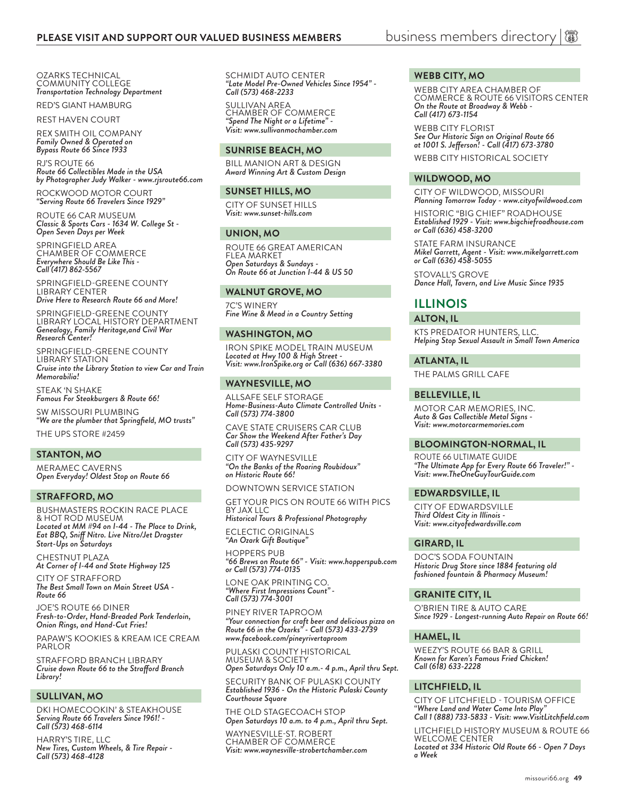OZARKS TECHNICAL COMMUNITY COLLEGE *Transportation Technology Department*

RED'S GIANT HAMBURG

REST HAVEN COURT

REX SMITH OIL COMPANY *Family Owned & Operated on Bypass Route 66 Since 1933*

RJ'S ROUTE 66 *Route 66 Collectibles Made in the USA by Photographer Judy Walker - www.rjsroute66.com*

ROCKWOOD MOTOR COURT *"Serving Route 66 Travelers Since 1929"* 

ROUTE 66 CAR MUSEUM *Classic & Sports Cars - 1634 W. College St - Open Seven Days per Week*

SPRINGFIELD AREA CHAMBER OF COMMERCE *Everywhere Should Be Like This - Call (417) 862-5567*

SPRINGFIELD-GREENE COUNTY LIBRARY CENTER *Drive Here to Research Route 66 and More!*

SPRINGFIELD-GREENE COUNTY LIBRARY LOCAL HISTORY DEPARTMENT *Genealogy, Family Heritage,and Civil War Research Center!*

SPRINGFIELD-GREENE COUNTY LIBRARY STATION *Cruise into the Library Station to view Car and Train Memorabilia!*

STEAK 'N SHAKE *Famous For Steakburgers & Route 66!*

SW MISSOURI PLUMBING *"We are the plumber that Springfield, MO trusts"* 

THE UPS STORE #2459

#### **STANTON, MO**

MERAMEC CAVERNS *Open Everyday! Oldest Stop on Route 66*

#### **STRAFFORD, MO**

BUSHMASTERS ROCKIN RACE PLACE & HOT ROD MUSEUM *Located at MM #94 on I-44 - The Place to Drink, Eat BBQ, Sniff Nitro. Live Nitro/Jet Dragster Start-Ups on Saturdays*

CHESTNUT PLAZA *At Corner of I-44 and State Highway 125*

CITY OF STRAFFORD *The Best Small Town on Main Street USA - Route 66*

JOE'S ROUTE 66 DINER *Fresh-to-Order, Hand-Breaded Pork Tenderloin, Onion Rings, and Hand-Cut Fries!*

PAPAW'S KOOKIES & KREAM ICE CREAM PARLOR

STRAFFORD BRANCH LIBRARY *Cruise down Route 66 to the Strafford Branch Library!*

#### **SULLIVAN, MO**

DKI HOMECOOKIN' & STEAKHOUSE *Serving Route 66 Travelers Since 1961! - Call (573) 468-6114*

HARRY'S TIRE, LLC *New Tires, Custom Wheels, & Tire Repair - Call (573) 468-4128*

SCHMIDT AUTO CENTER *"Late Model Pre-Owned Vehicles Since 1954" - Call (573) 468-2233*

SULLIVAN AREA CHAMBER OF COMMERCE *"Spend The Night or a Lifetime" - Visit: www.sullivanmochamber.com*

#### **SUNRISE BEACH, MO**

BILL MANION ART & DESIGN *Award Winning Art & Custom Design*

#### **SUNSET HILLS, MO**

CITY OF SUNSET HILLS *Visit: www.sunset-hills.com*

#### **UNION, MO**

ROUTE 66 GREAT AMERICAN FLEA MARKET *Open Saturdays & Sundays - On Route 66 at Junction I-44 & US 50*

#### **WALNUT GROVE, MO**

7C'S WINERY *Fine Wine & Mead in a Country Setting*

#### **WASHINGTON, MO**

IRON SPIKE MODEL TRAIN MUSEUM *Located at Hwy 100 & High Street - Visit: www.IronSpike.org or Call (636) 667-3380*

#### **WAYNESVILLE, MO**

ALLSAFE SELF STORAGE *Home-Business-Auto Climate Controlled Units - Call (573) 774-3800* 

CAVE STATE CRUISERS CAR CLUB *Car Show the Weekend After Father's Day Call (573) 435-9297*

CITY OF WAYNESVILLE *"On the Banks of the Roaring Roubidoux" on Historic Route 66!*

DOWNTOWN SERVICE STATION

GET YOUR PICS ON ROUTE 66 WITH PICS BY JAX LLC

*Historical Tours & Professional Photography*

ECLECTIC ORIGINALS *"An Ozark Gift Boutique"*

HOPPERS PUB *"66 Brews on Route 66" - Visit: www.hopperspub.com or Call (573) 774-0135*

LONE OAK PRINTING CO. *"Where First Impressions Count" - Call (573) 774-3001*

PINEY RIVER TAPROOM *"Your connection for craft beer and delicious pizza on Route 66 in the Ozarks" - Call (573) 433-2739 www.facebook.com/pineyrivertaproom*

PULASKI COUNTY HISTORICAL MUSEUM & SOCIETY

*Open Saturdays Only 10 a.m.- 4 p.m., April thru Sept.*

SECURITY BANK OF PULASKI COUNTY *Established 1936 - On the Historic Pulaski County Courthouse Square*

THE OLD STAGECOACH STOP *Open Saturdays 10 a.m. to 4 p.m., April thru Sept.*

WAYNESVILLE-ST. ROBERT CHAMBER OF COMMERCE *Visit: www.waynesville-strobertchamber.com*

#### **WEBB CITY, MO**

WEBB CITY AREA CHAMBER OF COMMERCE & ROUTE 66 VISITORS CENTER *On the Route at Broadway & Webb - Call (417) 673-1154*

WEBB CITY FLORIST *See Our Historic Sign on Original Route 66 at 1001 S. Jefferson! - Call (417) 673-3780* WEBB CITY HISTORICAL SOCIETY

#### **WILDWOOD, MO**

CITY OF WILDWOOD, MISSOURI *Planning Tomorrow Today - www.cityofwildwood.com*

HISTORIC "BIG CHIEF" ROADHOUSE *Established 1929 - Visit: www.bigchiefroadhouse.com or Call (636) 458-3200*

STATE FARM INSURANCE *Mikel Garrett, Agent - Visit: www.mikelgarrett.com or Call (636) 458-5055*

STOVALL'S GROVE *Dance Hall, Tavern, and Live Music Since 1935*

### **ILLINOIS**

**ALTON, IL**

KTS PREDATOR HUNTERS, LLC. *Helping Stop Sexual Assault in Small Town America*

#### **ATLANTA, IL**

THE PALMS GRILL CAFE

#### **BELLEVILLE, IL**

MOTOR CAR MEMORIES, INC. *Auto & Gas Collectible Metal Signs - Visit: www.motorcarmemories.com*

#### **BLOOMINGTON-NORMAL, IL**

ROUTE 66 ULTIMATE GUIDE *"The Ultimate App for Every Route 66 Traveler!" - Visit: www.TheOneGuyTourGuide.com*

#### **EDWARDSVILLE, IL**

CITY OF EDWARDSVILLE *Third Oldest City in Illinois - Visit: www.cityofedwardsville.com*

#### **GIRARD, IL**

DOC'S SODA FOUNTAIN *Historic Drug Store since 1884 featuring old fashioned fountain & Pharmacy Museum!*

#### **GRANITE CITY, IL**

O'BRIEN TIRE & AUTO CARE *Since 1929 - Longest-running Auto Repair on Route 66!* 

#### **HAMEL, IL**

WEEZY'S ROUTE 66 BAR & GRILL *Known for Karen's Famous Fried Chicken! Call (618) 633-2228*

#### **LITCHFIELD, IL**

CITY OF LITCHFIELD - TOURISM OFFICE "*Where Land and Water Come Into Play" Call 1 (888) 733-5833 - Visit: www.VisitLitchfield.com*

LITCHFIELD HISTORY MUSEUM & ROUTE 66 WELCOME CENTER

*Located at 334 Historic Old Route 66 - Open 7 Days a Week*